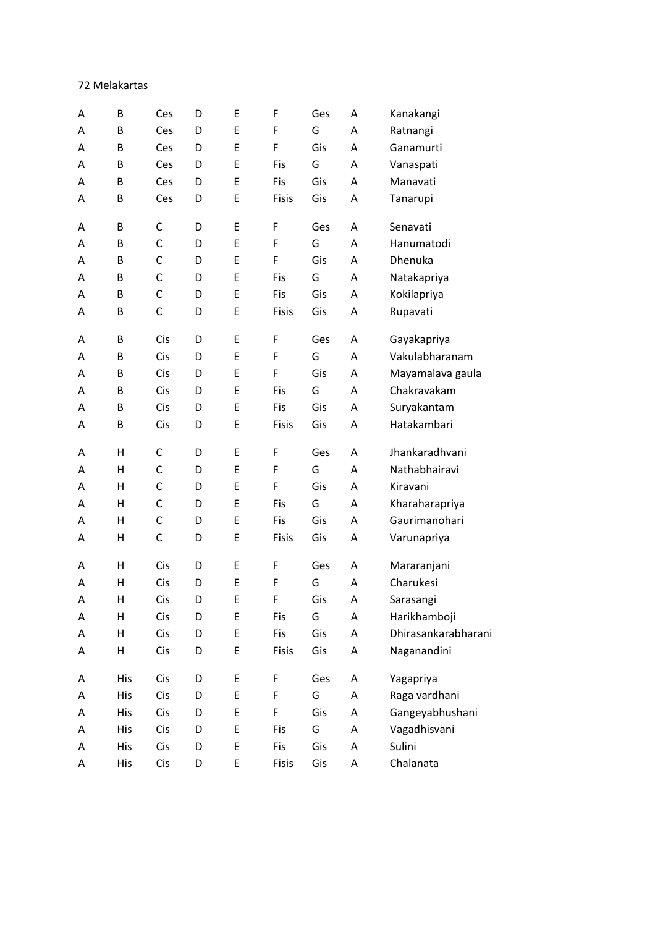72 Melakartas

| E<br>F<br>G<br>B<br>Ces<br>D<br>Ratnangi<br>Α<br>Α<br>E<br>F<br>Gis<br>B<br>Ganamurti<br>A<br>Ces<br>D<br>A<br>E<br>G<br>B<br>Ces<br>D<br>Fis<br>A<br>Vanaspati<br>Α<br>E<br>Gis<br>Fis<br>Manavati<br>В<br>Ces<br>D<br>A<br>Α<br>B<br>E<br>Gis<br>Tanarupi<br>Ces<br>D<br><b>Fisis</b><br>A<br>Α<br>E<br>B<br>C<br>F<br>Senavati<br>D<br>Ges<br>A<br>Α<br>$\mathsf C$<br>E<br>B<br>F<br>G<br>Hanumatodi<br>A<br>D<br>A<br>$\mathsf C$<br>E<br>F<br>Gis<br>B<br>D<br>Dhenuka<br>A<br>Α<br>$\mathsf C$<br>B<br>E<br>G<br>Natakapriya<br>D<br>Fis<br>A<br>Α<br>$\mathsf C$<br>E<br>Fis<br>Gis<br>Kokilapriya<br>A<br>B<br>D<br>A<br>$\mathsf C$<br>E<br>Fisis<br>Gis<br>Rupavati<br>B<br>D<br>Α<br>Α<br>E<br>F<br>B<br>Cis<br>D<br>Ges<br>Gayakapriya<br>A<br>Α<br>$\sf E$<br>F<br>Vakulabharanam<br>B<br>Cis<br>G<br>D<br>A<br>Α<br>E<br>F<br>Cis<br>Gis<br>Mayamalava gaula<br>A<br>B<br>D<br>A<br>G<br>Chakravakam<br>Cis<br>E<br>Fis<br>B<br>D<br>A<br>Α<br>E<br>Cis<br>Fis<br>Gis<br>Suryakantam<br>B<br>D<br>A<br>Α<br>Hatakambari<br>B<br>Cis<br>E<br>Gis<br>D<br>Fisis<br>A<br>Α<br>$\mathsf C$<br>Jhankaradhvani<br>Н<br>E<br>F<br>Ges<br>D<br>A<br>Α<br>$\mathsf C$<br>Nathabhairavi<br>Н<br>E<br>F<br>G<br>Α<br>D<br>A<br>$\mathsf C$<br>$\sf E$<br>F<br>Н<br>Gis<br>A<br>D<br>A<br>Kiravani<br>$\mathsf C$<br>E<br>G<br>Kharaharapriya<br>Н<br>Fis<br>D<br>A<br>Α<br>$\mathsf C$<br>Gaurimanohari<br>Н<br>E<br>Fis<br>Gis<br>D<br>A<br>Α<br>$\mathsf C$<br>E<br>Н<br>D<br>Gis<br><b>Fisis</b><br>A<br>Varunapriya<br>Α<br>E<br>F<br>Н<br>Cis<br>Ges<br>Mararanjani<br>D<br>A<br>Α<br>F<br>Cis<br>E<br>G<br>Charukesi<br>Н<br>D<br>A<br>Α<br>Gis<br>Cis<br>F<br>Sarasangi<br>D<br>E<br>Н<br>A<br>A<br>Cis<br>$\sf E$<br>G<br>Harikhamboji<br>Н<br>D<br>Fis<br>$\mathsf A$<br>Α<br>Dhirasankarabharani<br>E<br>Fis<br>Gis<br>Cis<br>D<br>Α<br>Н<br>Α<br>E<br>Н<br>Cis<br>D<br>Fisis<br>Gis<br>Naganandini<br>Α<br>Α<br>E<br><b>His</b><br>Cis<br>F<br>Ges<br>Yagapriya<br>D<br>A<br>Α<br>E<br>Cis<br>F<br>G<br>Raga vardhani<br><b>His</b><br>D<br>Α<br>Α<br>Gangeyabhushani<br>E<br>F<br>Gis<br>Cis<br>His<br>D<br>Α<br>Α<br>E<br>G<br>Vagadhisvani<br>His<br>Cis<br>Fis<br>A<br>D<br>A<br>Sulini<br><b>His</b><br>Cis<br>E<br>Fis<br>Gis<br>D<br>Α<br>Α | A | B   | Ces | D | E | F     | Ges | A                         | Kanakangi |
|-------------------------------------------------------------------------------------------------------------------------------------------------------------------------------------------------------------------------------------------------------------------------------------------------------------------------------------------------------------------------------------------------------------------------------------------------------------------------------------------------------------------------------------------------------------------------------------------------------------------------------------------------------------------------------------------------------------------------------------------------------------------------------------------------------------------------------------------------------------------------------------------------------------------------------------------------------------------------------------------------------------------------------------------------------------------------------------------------------------------------------------------------------------------------------------------------------------------------------------------------------------------------------------------------------------------------------------------------------------------------------------------------------------------------------------------------------------------------------------------------------------------------------------------------------------------------------------------------------------------------------------------------------------------------------------------------------------------------------------------------------------------------------------------------------------------------------------------------------------------------------------------------------------------------------------------------------------------------------------------------------------------------------------------------------------------------------------------------------------------------------------------------------------------------------------------------------------------------------------------------------------------|---|-----|-----|---|---|-------|-----|---------------------------|-----------|
|                                                                                                                                                                                                                                                                                                                                                                                                                                                                                                                                                                                                                                                                                                                                                                                                                                                                                                                                                                                                                                                                                                                                                                                                                                                                                                                                                                                                                                                                                                                                                                                                                                                                                                                                                                                                                                                                                                                                                                                                                                                                                                                                                                                                                                                                   |   |     |     |   |   |       |     |                           |           |
|                                                                                                                                                                                                                                                                                                                                                                                                                                                                                                                                                                                                                                                                                                                                                                                                                                                                                                                                                                                                                                                                                                                                                                                                                                                                                                                                                                                                                                                                                                                                                                                                                                                                                                                                                                                                                                                                                                                                                                                                                                                                                                                                                                                                                                                                   |   |     |     |   |   |       |     |                           |           |
|                                                                                                                                                                                                                                                                                                                                                                                                                                                                                                                                                                                                                                                                                                                                                                                                                                                                                                                                                                                                                                                                                                                                                                                                                                                                                                                                                                                                                                                                                                                                                                                                                                                                                                                                                                                                                                                                                                                                                                                                                                                                                                                                                                                                                                                                   |   |     |     |   |   |       |     |                           |           |
|                                                                                                                                                                                                                                                                                                                                                                                                                                                                                                                                                                                                                                                                                                                                                                                                                                                                                                                                                                                                                                                                                                                                                                                                                                                                                                                                                                                                                                                                                                                                                                                                                                                                                                                                                                                                                                                                                                                                                                                                                                                                                                                                                                                                                                                                   |   |     |     |   |   |       |     |                           |           |
|                                                                                                                                                                                                                                                                                                                                                                                                                                                                                                                                                                                                                                                                                                                                                                                                                                                                                                                                                                                                                                                                                                                                                                                                                                                                                                                                                                                                                                                                                                                                                                                                                                                                                                                                                                                                                                                                                                                                                                                                                                                                                                                                                                                                                                                                   |   |     |     |   |   |       |     |                           |           |
|                                                                                                                                                                                                                                                                                                                                                                                                                                                                                                                                                                                                                                                                                                                                                                                                                                                                                                                                                                                                                                                                                                                                                                                                                                                                                                                                                                                                                                                                                                                                                                                                                                                                                                                                                                                                                                                                                                                                                                                                                                                                                                                                                                                                                                                                   |   |     |     |   |   |       |     |                           |           |
|                                                                                                                                                                                                                                                                                                                                                                                                                                                                                                                                                                                                                                                                                                                                                                                                                                                                                                                                                                                                                                                                                                                                                                                                                                                                                                                                                                                                                                                                                                                                                                                                                                                                                                                                                                                                                                                                                                                                                                                                                                                                                                                                                                                                                                                                   |   |     |     |   |   |       |     |                           |           |
|                                                                                                                                                                                                                                                                                                                                                                                                                                                                                                                                                                                                                                                                                                                                                                                                                                                                                                                                                                                                                                                                                                                                                                                                                                                                                                                                                                                                                                                                                                                                                                                                                                                                                                                                                                                                                                                                                                                                                                                                                                                                                                                                                                                                                                                                   |   |     |     |   |   |       |     |                           |           |
|                                                                                                                                                                                                                                                                                                                                                                                                                                                                                                                                                                                                                                                                                                                                                                                                                                                                                                                                                                                                                                                                                                                                                                                                                                                                                                                                                                                                                                                                                                                                                                                                                                                                                                                                                                                                                                                                                                                                                                                                                                                                                                                                                                                                                                                                   |   |     |     |   |   |       |     |                           |           |
|                                                                                                                                                                                                                                                                                                                                                                                                                                                                                                                                                                                                                                                                                                                                                                                                                                                                                                                                                                                                                                                                                                                                                                                                                                                                                                                                                                                                                                                                                                                                                                                                                                                                                                                                                                                                                                                                                                                                                                                                                                                                                                                                                                                                                                                                   |   |     |     |   |   |       |     |                           |           |
|                                                                                                                                                                                                                                                                                                                                                                                                                                                                                                                                                                                                                                                                                                                                                                                                                                                                                                                                                                                                                                                                                                                                                                                                                                                                                                                                                                                                                                                                                                                                                                                                                                                                                                                                                                                                                                                                                                                                                                                                                                                                                                                                                                                                                                                                   |   |     |     |   |   |       |     |                           |           |
|                                                                                                                                                                                                                                                                                                                                                                                                                                                                                                                                                                                                                                                                                                                                                                                                                                                                                                                                                                                                                                                                                                                                                                                                                                                                                                                                                                                                                                                                                                                                                                                                                                                                                                                                                                                                                                                                                                                                                                                                                                                                                                                                                                                                                                                                   |   |     |     |   |   |       |     |                           |           |
|                                                                                                                                                                                                                                                                                                                                                                                                                                                                                                                                                                                                                                                                                                                                                                                                                                                                                                                                                                                                                                                                                                                                                                                                                                                                                                                                                                                                                                                                                                                                                                                                                                                                                                                                                                                                                                                                                                                                                                                                                                                                                                                                                                                                                                                                   |   |     |     |   |   |       |     |                           |           |
|                                                                                                                                                                                                                                                                                                                                                                                                                                                                                                                                                                                                                                                                                                                                                                                                                                                                                                                                                                                                                                                                                                                                                                                                                                                                                                                                                                                                                                                                                                                                                                                                                                                                                                                                                                                                                                                                                                                                                                                                                                                                                                                                                                                                                                                                   |   |     |     |   |   |       |     |                           |           |
|                                                                                                                                                                                                                                                                                                                                                                                                                                                                                                                                                                                                                                                                                                                                                                                                                                                                                                                                                                                                                                                                                                                                                                                                                                                                                                                                                                                                                                                                                                                                                                                                                                                                                                                                                                                                                                                                                                                                                                                                                                                                                                                                                                                                                                                                   |   |     |     |   |   |       |     |                           |           |
|                                                                                                                                                                                                                                                                                                                                                                                                                                                                                                                                                                                                                                                                                                                                                                                                                                                                                                                                                                                                                                                                                                                                                                                                                                                                                                                                                                                                                                                                                                                                                                                                                                                                                                                                                                                                                                                                                                                                                                                                                                                                                                                                                                                                                                                                   |   |     |     |   |   |       |     |                           |           |
|                                                                                                                                                                                                                                                                                                                                                                                                                                                                                                                                                                                                                                                                                                                                                                                                                                                                                                                                                                                                                                                                                                                                                                                                                                                                                                                                                                                                                                                                                                                                                                                                                                                                                                                                                                                                                                                                                                                                                                                                                                                                                                                                                                                                                                                                   |   |     |     |   |   |       |     |                           |           |
|                                                                                                                                                                                                                                                                                                                                                                                                                                                                                                                                                                                                                                                                                                                                                                                                                                                                                                                                                                                                                                                                                                                                                                                                                                                                                                                                                                                                                                                                                                                                                                                                                                                                                                                                                                                                                                                                                                                                                                                                                                                                                                                                                                                                                                                                   |   |     |     |   |   |       |     |                           |           |
|                                                                                                                                                                                                                                                                                                                                                                                                                                                                                                                                                                                                                                                                                                                                                                                                                                                                                                                                                                                                                                                                                                                                                                                                                                                                                                                                                                                                                                                                                                                                                                                                                                                                                                                                                                                                                                                                                                                                                                                                                                                                                                                                                                                                                                                                   |   |     |     |   |   |       |     |                           |           |
|                                                                                                                                                                                                                                                                                                                                                                                                                                                                                                                                                                                                                                                                                                                                                                                                                                                                                                                                                                                                                                                                                                                                                                                                                                                                                                                                                                                                                                                                                                                                                                                                                                                                                                                                                                                                                                                                                                                                                                                                                                                                                                                                                                                                                                                                   |   |     |     |   |   |       |     |                           |           |
|                                                                                                                                                                                                                                                                                                                                                                                                                                                                                                                                                                                                                                                                                                                                                                                                                                                                                                                                                                                                                                                                                                                                                                                                                                                                                                                                                                                                                                                                                                                                                                                                                                                                                                                                                                                                                                                                                                                                                                                                                                                                                                                                                                                                                                                                   |   |     |     |   |   |       |     |                           |           |
|                                                                                                                                                                                                                                                                                                                                                                                                                                                                                                                                                                                                                                                                                                                                                                                                                                                                                                                                                                                                                                                                                                                                                                                                                                                                                                                                                                                                                                                                                                                                                                                                                                                                                                                                                                                                                                                                                                                                                                                                                                                                                                                                                                                                                                                                   |   |     |     |   |   |       |     |                           |           |
|                                                                                                                                                                                                                                                                                                                                                                                                                                                                                                                                                                                                                                                                                                                                                                                                                                                                                                                                                                                                                                                                                                                                                                                                                                                                                                                                                                                                                                                                                                                                                                                                                                                                                                                                                                                                                                                                                                                                                                                                                                                                                                                                                                                                                                                                   |   |     |     |   |   |       |     |                           |           |
|                                                                                                                                                                                                                                                                                                                                                                                                                                                                                                                                                                                                                                                                                                                                                                                                                                                                                                                                                                                                                                                                                                                                                                                                                                                                                                                                                                                                                                                                                                                                                                                                                                                                                                                                                                                                                                                                                                                                                                                                                                                                                                                                                                                                                                                                   |   |     |     |   |   |       |     |                           |           |
|                                                                                                                                                                                                                                                                                                                                                                                                                                                                                                                                                                                                                                                                                                                                                                                                                                                                                                                                                                                                                                                                                                                                                                                                                                                                                                                                                                                                                                                                                                                                                                                                                                                                                                                                                                                                                                                                                                                                                                                                                                                                                                                                                                                                                                                                   |   |     |     |   |   |       |     |                           |           |
|                                                                                                                                                                                                                                                                                                                                                                                                                                                                                                                                                                                                                                                                                                                                                                                                                                                                                                                                                                                                                                                                                                                                                                                                                                                                                                                                                                                                                                                                                                                                                                                                                                                                                                                                                                                                                                                                                                                                                                                                                                                                                                                                                                                                                                                                   |   |     |     |   |   |       |     |                           |           |
|                                                                                                                                                                                                                                                                                                                                                                                                                                                                                                                                                                                                                                                                                                                                                                                                                                                                                                                                                                                                                                                                                                                                                                                                                                                                                                                                                                                                                                                                                                                                                                                                                                                                                                                                                                                                                                                                                                                                                                                                                                                                                                                                                                                                                                                                   |   |     |     |   |   |       |     |                           |           |
|                                                                                                                                                                                                                                                                                                                                                                                                                                                                                                                                                                                                                                                                                                                                                                                                                                                                                                                                                                                                                                                                                                                                                                                                                                                                                                                                                                                                                                                                                                                                                                                                                                                                                                                                                                                                                                                                                                                                                                                                                                                                                                                                                                                                                                                                   |   |     |     |   |   |       |     |                           |           |
|                                                                                                                                                                                                                                                                                                                                                                                                                                                                                                                                                                                                                                                                                                                                                                                                                                                                                                                                                                                                                                                                                                                                                                                                                                                                                                                                                                                                                                                                                                                                                                                                                                                                                                                                                                                                                                                                                                                                                                                                                                                                                                                                                                                                                                                                   |   |     |     |   |   |       |     |                           |           |
|                                                                                                                                                                                                                                                                                                                                                                                                                                                                                                                                                                                                                                                                                                                                                                                                                                                                                                                                                                                                                                                                                                                                                                                                                                                                                                                                                                                                                                                                                                                                                                                                                                                                                                                                                                                                                                                                                                                                                                                                                                                                                                                                                                                                                                                                   |   |     |     |   |   |       |     |                           |           |
|                                                                                                                                                                                                                                                                                                                                                                                                                                                                                                                                                                                                                                                                                                                                                                                                                                                                                                                                                                                                                                                                                                                                                                                                                                                                                                                                                                                                                                                                                                                                                                                                                                                                                                                                                                                                                                                                                                                                                                                                                                                                                                                                                                                                                                                                   |   |     |     |   |   |       |     |                           |           |
|                                                                                                                                                                                                                                                                                                                                                                                                                                                                                                                                                                                                                                                                                                                                                                                                                                                                                                                                                                                                                                                                                                                                                                                                                                                                                                                                                                                                                                                                                                                                                                                                                                                                                                                                                                                                                                                                                                                                                                                                                                                                                                                                                                                                                                                                   |   |     |     |   |   |       |     |                           |           |
|                                                                                                                                                                                                                                                                                                                                                                                                                                                                                                                                                                                                                                                                                                                                                                                                                                                                                                                                                                                                                                                                                                                                                                                                                                                                                                                                                                                                                                                                                                                                                                                                                                                                                                                                                                                                                                                                                                                                                                                                                                                                                                                                                                                                                                                                   |   |     |     |   |   |       |     |                           |           |
|                                                                                                                                                                                                                                                                                                                                                                                                                                                                                                                                                                                                                                                                                                                                                                                                                                                                                                                                                                                                                                                                                                                                                                                                                                                                                                                                                                                                                                                                                                                                                                                                                                                                                                                                                                                                                                                                                                                                                                                                                                                                                                                                                                                                                                                                   |   |     |     |   |   |       |     |                           |           |
|                                                                                                                                                                                                                                                                                                                                                                                                                                                                                                                                                                                                                                                                                                                                                                                                                                                                                                                                                                                                                                                                                                                                                                                                                                                                                                                                                                                                                                                                                                                                                                                                                                                                                                                                                                                                                                                                                                                                                                                                                                                                                                                                                                                                                                                                   |   |     |     |   |   |       |     |                           |           |
|                                                                                                                                                                                                                                                                                                                                                                                                                                                                                                                                                                                                                                                                                                                                                                                                                                                                                                                                                                                                                                                                                                                                                                                                                                                                                                                                                                                                                                                                                                                                                                                                                                                                                                                                                                                                                                                                                                                                                                                                                                                                                                                                                                                                                                                                   | Α | His | Cis | D | E | Fisis | Gis | $\boldsymbol{\mathsf{A}}$ | Chalanata |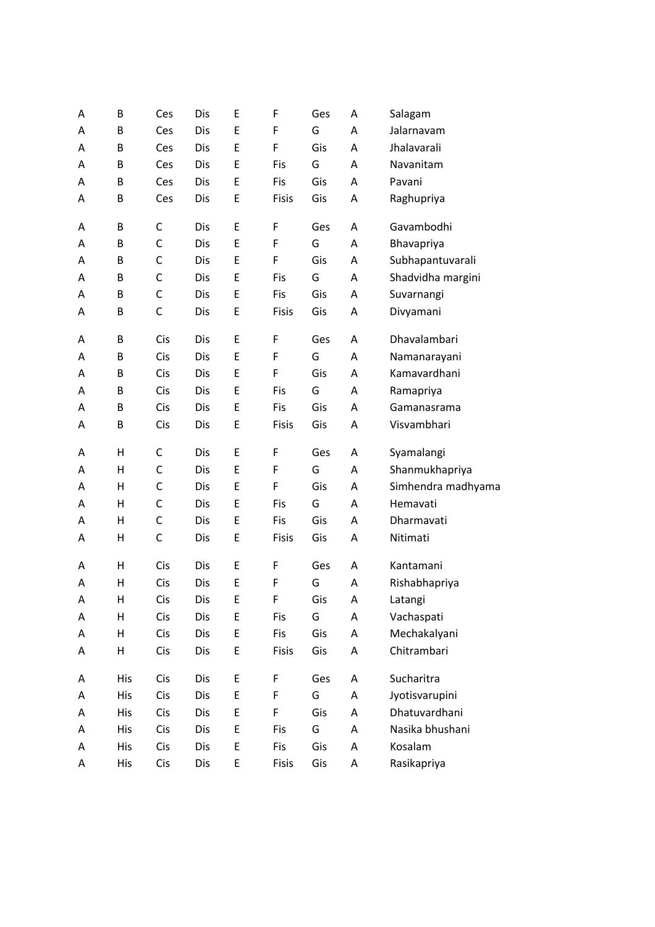| Α | B            | Ces         | Dis | Е           | F     | Ges | Α | Salagam            |
|---|--------------|-------------|-----|-------------|-------|-----|---|--------------------|
| А | B            | Ces         | Dis | E           | F     | G   | A | Jalarnavam         |
| А | B            | Ces         | Dis | Е           | F     | Gis | A | Jhalavarali        |
| А | B            | Ces         | Dis | E           | Fis   | G   | A | Navanitam          |
| Α | B            | Ces         | Dis | Е           | Fis   | Gis | A | Pavani             |
| Α | B            | Ces         | Dis | Е           | Fisis | Gis | A | Raghupriya         |
|   |              |             |     |             |       |     |   |                    |
| Α | B            | C           | Dis | E           | F     | Ges | Α | Gavambodhi         |
| А | B            | $\mathsf C$ | Dis | Е           | F     | G   | A | Bhavapriya         |
| А | B            | $\mathsf C$ | Dis | Е           | F     | Gis | A | Subhapantuvarali   |
| Α | B            | $\mathsf C$ | Dis | Е           | Fis   | G   | A | Shadvidha margini  |
| A | B            | $\mathsf C$ | Dis | E           | Fis   | Gis | A | Suvarnangi         |
| A | B            | $\mathsf C$ | Dis | Е           | Fisis | Gis | A | Divyamani          |
| Α | B            | Cis         | Dis | Ε           | F     | Ges | A | Dhavalambari       |
| Α | B            | Cis         | Dis | E           | F     | G   | A | Namanarayani       |
| Α | B            | Cis         | Dis | Е           | F     | Gis | A | Kamavardhani       |
| Α | B            | Cis         | Dis | E           | Fis   | G   | А | Ramapriya          |
| Α | B            | Cis         | Dis | Е           | Fis   | Gis | A | Gamanasrama        |
| А | B            | Cis         | Dis | E           | Fisis | Gis | A | Visvambhari        |
|   |              |             |     |             |       |     |   |                    |
| Α | Н            | $\mathsf C$ | Dis | Е           | F     | Ges | Α | Syamalangi         |
| Α | Н            | $\mathsf C$ | Dis | Е           | F     | G   | А | Shanmukhapriya     |
| Α | Н            | $\mathsf C$ | Dis | Е           | F     | Gis | A | Simhendra madhyama |
| Α | Н            | $\mathsf C$ | Dis | Ε           | Fis   | G   | A | Hemavati           |
| Α | Н            | C           | Dis | E           | Fis   | Gis | A | Dharmavati         |
| Α | Н            | $\mathsf C$ | Dis | E           | Fisis | Gis | A | Nitimati           |
| Α | Н            | Cis         | Dis | E           | F     | Ges | A | Kantamani          |
| Α | $\mathsf{H}$ | Cis         | Dis | Е           | F     | G   | A | Rishabhapriya      |
| A | H            | Cis         | Dis | E           | F     | Gis | A | Latangi            |
| Α | Н            | Cis         | Dis | E           | Fis   | G   | A | Vachaspati         |
| А | Н            | Cis         | Dis | E           | Fis   | Gis | A | Mechakalyani       |
| Α | Н            | Cis         | Dis | E           | Fisis | Gis | Α | Chitrambari        |
|   |              |             |     |             |       |     |   |                    |
| Α | His          | Cis         | Dis | E           | F     | Ges | A | Sucharitra         |
| Α | His          | Cis         | Dis | E           | F     | G   | Α | Jyotisvarupini     |
| Α | <b>His</b>   | Cis         | Dis | E           | F     | Gis | Α | Dhatuvardhani      |
| Α | His          | Cis         | Dis | $\mathsf E$ | Fis   | G   | A | Nasika bhushani    |
| Α | His          | Cis         | Dis | E           | Fis   | Gis | A | Kosalam            |
| Α | His          | Cis         | Dis | E           | Fisis | Gis | Α | Rasikapriya        |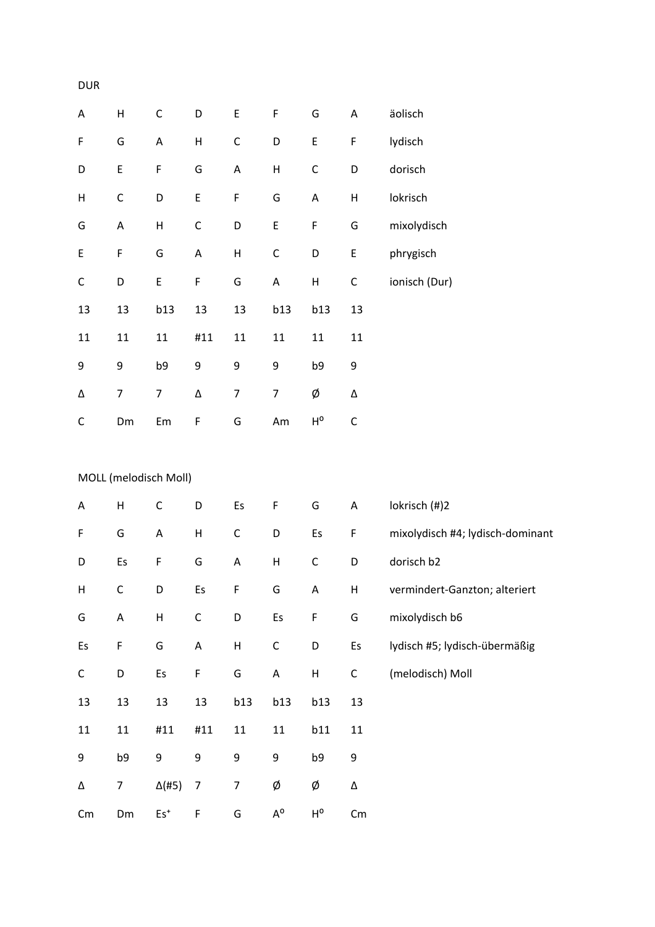| A           | Н                     | $\mathsf C$               | D            | E           | F                        | G                       | A           | äolisch        |
|-------------|-----------------------|---------------------------|--------------|-------------|--------------------------|-------------------------|-------------|----------------|
| F           | G                     | A                         | $\mathsf{H}$ | $\mathsf C$ | D                        | E                       | F           | lydisch        |
| D           | E                     | F                         | G            | A           | $\mathsf{H}$             | $\mathsf C$             | D           | dorisch        |
| Н           | $\mathsf C$           | D                         | E            | F           | G                        | A                       | Н           | lokrisch       |
| G           | $\mathsf A$           | $\sf H$                   | $\mathsf{C}$ | D           | E                        | F                       | G           | mixolydisch    |
| E           | F                     | G                         | A            | Н           | $\mathsf C$              | D                       | E           | phrygisch      |
| $\mathsf C$ | D                     | E                         | F            | G           | A                        | $\sf H$                 | C           | ionisch (Dur)  |
| 13          | 13                    | b13                       | 13           | 13          | b13                      | b13                     | 13          |                |
| 11          | 11                    | 11                        | #11          | 11          | 11                       | 11                      | 11          |                |
| 9           | 9                     | b9                        | 9            | 9           | 9                        | b9                      | 9           |                |
| Δ           | $\overline{7}$        | $\overline{7}$            | Δ            | 7           | $\overline{\mathcal{I}}$ | Ø                       | Δ           |                |
| $\mathsf C$ | Dm                    | Em                        | F            | G           | Am                       | $\mathsf{H}^\mathsf{o}$ | $\mathsf C$ |                |
|             |                       |                           |              |             |                          |                         |             |                |
|             | MOLL (melodisch Moll) |                           |              |             |                          |                         |             |                |
| A           | $\mathsf{H}$          | $\mathsf C$               | D            | Es          | F                        | G                       | A           | lokrisch (#)2  |
| F           | G                     | A                         | $\mathsf{H}$ | C           | D                        | Es                      | F           | mixolydisch #  |
| D           | Es                    | F                         | G            | A           | H                        | C                       | D           | dorisch b2     |
| Н           | C                     | D                         | Es           | F           | G                        | A                       | Н           | vermindert-C   |
| G           | $\mathsf A$           | $\boldsymbol{\mathsf{H}}$ | $\mathsf C$  | D           | Es                       | F                       | G           | mixolydisch b  |
| Es          | $\mathsf F$           | G                         | A            | Н           | C                        | D                       | Es          | lydisch #5; ly |
| $\mathsf C$ | D                     | Es                        | F            | G           | $\mathsf A$              | Н                       | C           | (melodisch) M  |
| 13          | 13                    | 13                        | 13           | <b>b13</b>  | <b>b13</b>               | b13                     | 13          |                |
| 11          | 11                    | #11                       | #11          | 11          | 11                       | b11                     | 11          |                |

| F  | mixolydisch #4; lydisch-dominant |
|----|----------------------------------|
| D  | dorisch b2                       |
| н  | vermindert-Ganzton; alteriert    |
| G  | mixolydisch b6                   |
| Es | lydisch #5; lydisch-übermäßig    |
| C  | (melodisch) Moll                 |
| 13 |                                  |
| 11 |                                  |
| 9  |                                  |
| Λ  |                                  |

 $\overline{9}$ 

 $\Delta$ 

 $Cm$ 

 $b9$ 

 $7<sup>7</sup>$ 

Dm

 $9 \qquad 9$ 

 $\Delta$ (#5) 7

 $Es<sup>+</sup> F$ 

 $\overline{9}$ 

 $\overline{7}$ 

 ${\mathsf G}$ 

 $\overline{9}$ 

Ø

 $\mathsf{A}^\mathsf{o}$ 

 $b9$ 

Ø

 $\mathsf{H}^\mathsf{o}$ 

 $\mathsf{Cm}$